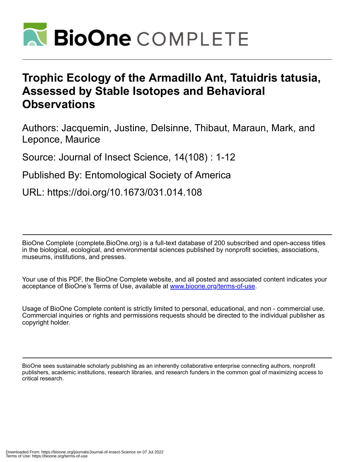

# **Trophic Ecology of the Armadillo Ant, Tatuidris tatusia, Assessed by Stable Isotopes and Behavioral Observations**

Authors: Jacquemin, Justine, Delsinne, Thibaut, Maraun, Mark, and Leponce, Maurice

Source: Journal of Insect Science, 14(108) : 1-12

Published By: Entomological Society of America

URL: https://doi.org/10.1673/031.014.108

BioOne Complete (complete.BioOne.org) is a full-text database of 200 subscribed and open-access titles in the biological, ecological, and environmental sciences published by nonprofit societies, associations, museums, institutions, and presses.

Your use of this PDF, the BioOne Complete website, and all posted and associated content indicates your acceptance of BioOne's Terms of Use, available at www.bioone.org/terms-of-use.

Usage of BioOne Complete content is strictly limited to personal, educational, and non - commercial use. Commercial inquiries or rights and permissions requests should be directed to the individual publisher as copyright holder.

BioOne sees sustainable scholarly publishing as an inherently collaborative enterprise connecting authors, nonprofit publishers, academic institutions, research libraries, and research funders in the common goal of maximizing access to critical research.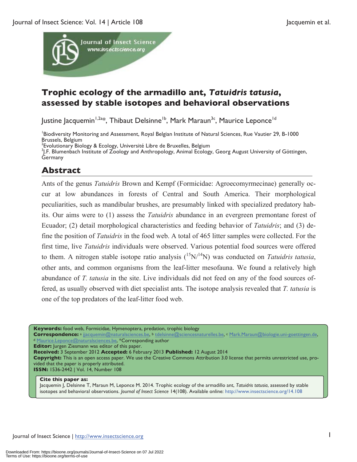

# **Trophic ecology of the armadillo ant,** *Tatuidris tatusia***, assessed by stable isotopes and behavioral observations**

Justine Jacquemin<sup>1,2a\*</sup>, Thibaut Delsinne<sup>1b</sup>, Mark Maraun<sup>3c</sup>, Maurice Leponce<sup>1d</sup>

Biodiversity Monitoring and Assessment, Royal Belgian Institute of Natural Sciences, Rue Vautier 29, B-1000 Brussels, Belgium

<sup>2</sup> Evolutionary Biology & Ecology, Université Libre de Bruxelles, Belgium<br><sup>31</sup> E. Blumophach Institute of Zoology and Anthropology, Animal Ecology

<sup>3</sup>I.F. Blumenbach Institute of Zoology and Anthropology, Animal Ecology, Georg August University of Göttingen, *<u>Germany</u>* 

# **Abstract**

Ants of the genus *Tatuidris* Brown and Kempf (Formicidae: Agroecomyrmecinae) generally occur at low abundances in forests of Central and South America. Their morphological peculiarities, such as mandibular brushes, are presumably linked with specialized predatory habits. Our aims were to (1) assess the *Tatuidris* abundance in an evergreen premontane forest of Ecuador; (2) detail morphological characteristics and feeding behavior of *Tatuidris*; and (3) define the position of *Tatuidris* in the food web. A total of 465 litter samples were collected. For the first time, live *Tatuidris* individuals were observed. Various potential food sources were offered to them. A nitrogen stable isotope ratio analysis  $({}^{15}N/{}^{14}N)$  was conducted on *Tatuidris tatusia*, other ants, and common organisms from the leaf-litter mesofauna. We found a relatively high abundance of *T. tatusia* in the site. Live individuals did not feed on any of the food sources offered, as usually observed with diet specialist ants. The isotope analysis revealed that *T. tatusia* is one of the top predators of the leaf-litter food web.

**Keywords:** food web, Formicidae, Hymenoptera, predation, trophic biology

Correspondence: a jjacquemin@naturalsciences.be, b tdelsinne@sciencesnaturelles.be, c Mark.Maraun@biologie.uni-goettingen.de, d Maurice.Leponce@naturalsciences.be, \*Corresponding author

**Editor:** Jurgen Ziesmann was editor of this paper.

**Received:** 3 September 2012 **Accepted:** 6 February 2013 **Published:** 12 August 2014

**Copyright:** This is an open access paper. We use the Creative Commons Attribution 3.0 license that permits unrestricted use, provided that the paper is properly attributed.

**ISSN:** 1536-2442 | Vol. 14, Number 108

#### **Cite this paper as:**

Jacquemin J, Delsinne T, Maraun M, Leponce M. 2014. Trophic ecology of the armadillo ant, *Tatuidris tatusia*, assessed by stable isotopes and behavioral observations. *Journal of Insect Science* 14(108). Available online: http://www.insectscience.org/14.108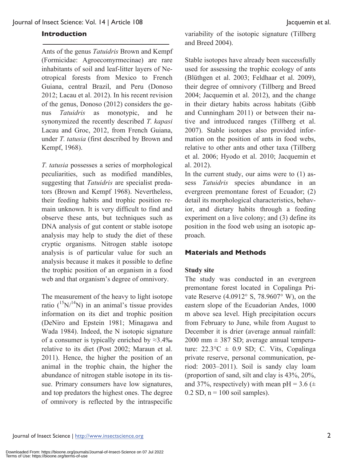### **Introduction**

Ants of the genus *Tatuidris* Brown and Kempf (Formicidae: Agroecomyrmecinae) are rare inhabitants of soil and leaf-litter layers of Neotropical forests from Mexico to French Guiana, central Brazil, and Peru (Donoso 2012; Lacau et al. 2012). In his recent revision of the genus, Donoso (2012) considers the genus *Tatuidris* as monotypic, and he synonymized the recently described *T. kapasi* Lacau and Groc, 2012, from French Guiana, under *T. tatusia* (first described by Brown and Kempf, 1968).

*T. tatusia* possesses a series of morphological peculiarities, such as modified mandibles, suggesting that *Tatuidris* are specialist predators (Brown and Kempf 1968). Nevertheless, their feeding habits and trophic position remain unknown. It is very difficult to find and observe these ants, but techniques such as DNA analysis of gut content or stable isotope analysis may help to study the diet of these cryptic organisms. Nitrogen stable isotope analysis is of particular value for such an analysis because it makes it possible to define the trophic position of an organism in a food web and that organism's degree of omnivory.

The measurement of the heavy to light isotope ratio  $(^{15}N/^{14}N)$  in an animal's tissue provides information on its diet and trophic position (DeNiro and Epstein 1981; Minagawa and Wada 1984). Indeed, the N isotopic signature of a consumer is typically enriched by  $\approx$ 3.4‰ relative to its diet (Post 2002; Maraun et al. 2011). Hence, the higher the position of an animal in the trophic chain, the higher the abundance of nitrogen stable isotope in its tissue. Primary consumers have low signatures, and top predators the highest ones. The degree of omnivory is reflected by the intraspecific

variability of the isotopic signature (Tillberg and Breed 2004).

Stable isotopes have already been successfully used for assessing the trophic ecology of ants (Blüthgen et al. 2003; Feldhaar et al. 2009), their degree of omnivory (Tillberg and Breed 2004; Jacquemin et al. 2012), and the change in their dietary habits across habitats (Gibb and Cunningham 2011) or between their native and introduced ranges (Tillberg et al. 2007). Stable isotopes also provided information on the position of ants in food webs, relative to other ants and other taxa (Tillberg et al. 2006; Hyodo et al. 2010; Jacquemin et al. 2012).

In the current study, our aims were to (1) assess *Tatuidris* species abundance in an evergreen premontane forest of Ecuador; (2) detail its morphological characteristics, behavior, and dietary habits through a feeding experiment on a live colony; and (3) define its position in the food web using an isotopic approach.

### **Materials and Methods**

### **Study site**

The study was conducted in an evergreen premontane forest located in Copalinga Private Reserve (4.0912° S, 78.9607° W), on the eastern slope of the Ecuadorian Andes, 1000 m above sea level. High precipitation occurs from February to June, while from August to December it is drier (average annual rainfall:  $2000$  mm  $\pm$  387 SD; average annual temperature:  $22.3^{\circ}\text{C} \pm 0.9 \text{ SD}$ ; C. Vits, Copalinga private reserve, personal communication, period: 2003–2011). Soil is sandy clay loam (proportion of sand, silt and clay is 43%, 20%, and 37%, respectively) with mean pH =  $3.6 \ (\pm$  $0.2$  SD,  $n = 100$  soil samples).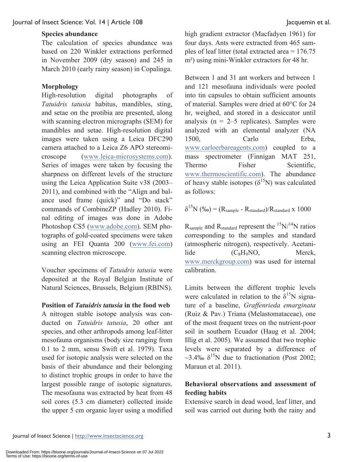### **Species abundance**

The calculation of species abundance was based on 220 Winkler extractions performed in November 2009 (dry season) and 245 in March 2010 (early rainy season) in Copalinga.

# **Morphology**

High-resolution digital photographs of *Tatuidris tatusia* habitus, mandibles, sting, and setae on the protibia are presented, along with scanning electron micrographs (SEM) for mandibles and setae. High-resolution digital images were taken using a Leica DFC290 camera attached to a Leica Z6 APO stereomicroscope (www.leica-microsystems.com). Series of images were taken by focusing the sharpness on different levels of the structure using the Leica Application Suite v38 (2003– 2011), and combined with the "Align and balance used frame (quick)" and "Do stack" commands of CombineZP (Hadley 2010). Final editing of images was done in Adobe Photoshop CS5 (www.adobe.com). SEM photographs of gold-coated specimens were taken using an FEI Quanta 200 (www.fei.com) scanning electron microscope.

Voucher specimens of *Tatuidris tatusia* were deposited at the Royal Belgian Institute of Natural Sciences, Brussels, Belgium (RBINS).

### **Position of** *Tatuidris tatusia* **in the food web**

A nitrogen stable isotope analysis was conducted on *Tatuidris tatusia*, 20 other ant species, and other arthropods among leaf-litter mesofauna organisms (body size ranging from 0.1 to 2 mm, sensu Swift et al. 1979). Taxa used for isotopic analysis were selected on the basis of their abundance and their belonging to distinct trophic groups in order to have the largest possible range of isotopic signatures. The mesofauna was extracted by heat from 48 soil cores (5.3 cm diameter) collected inside the upper 5 cm organic layer using a modified high gradient extractor (Macfadyen 1961) for four days. Ants were extracted from 465 samples of leaf litter (total extracted area = 176.75 m²) using mini-Winkler extractors for 48 hr.

Between 1 and 31 ant workers and between 1 and 121 mesofauna individuals were pooled into tin capsules to obtain sufficient amounts of material. Samples were dried at 60°C for 24 hr, weighed, and stored in a desiccator until analysis ( $n = 2-5$  replicates). Samples were analyzed with an elemental analyzer (NA 1500, Carlo Erba, www.carloerbareagents.com) coupled to a mass spectrometer (Finnigan MAT 251, Thermo Fisher Scientific, www.thermoscientific.com). The abundance of heavy stable isotopes  $(\delta^{15}N)$  was calculated as follows:

$$
\delta^{15}N (%) = (R_{sample} - R_{standard})/R_{standard} \times 1000
$$

 $R_{sample}$  and  $R_{standard}$  represent the  $15N/14N$  ratios corresponding to the samples and standard (atmospheric nitrogen), respectively. Acetani $lide$   $(C_8H_9NO,$  Merck, www.merckgroup.com) was used for internal calibration.

Limits between the different trophic levels were calculated in relation to the  $\delta^{15}N$  signature of a baseline, *Graffenrieda emarginata* (Ruiz & Pav.) Triana (Melastomataceae), one of the most frequent trees on the nutrient-poor soil in southern Ecuador (Haug et al. 2004; Illig et al. 2005). We assumed that two trophic levels were separated by a difference of ~3.4‰  $\delta^{15}$ N due to fractionation (Post 2002; Maraun et al. 2011).

# **Behavioral observations and assessment of feeding habits**

Extensive search in dead wood, leaf litter, and soil was carried out during both the rainy and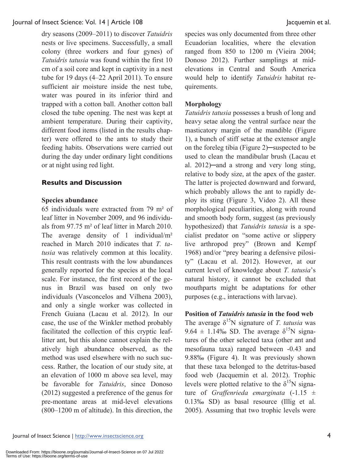dry seasons (2009–2011) to discover *Tatuidris* nests or live specimens. Successfully, a small colony (three workers and four gynes) of *Tatuidris tatusia* was found within the first 10 cm of a soil core and kept in captivity in a nest tube for 19 days (4–22 April 2011). To ensure sufficient air moisture inside the nest tube, water was poured in its inferior third and trapped with a cotton ball. Another cotton ball closed the tube opening. The nest was kept at ambient temperature. During their captivity, different food items (listed in the results chapter) were offered to the ants to study their feeding habits. Observations were carried out during the day under ordinary light conditions or at night using red light.

# **Results and Discussion**

# **Species abundance**

65 individuals were extracted from 79 m² of leaf litter in November 2009, and 96 individuals from 97.75 m² of leaf litter in March 2010. The average density of 1 individual/ $m<sup>2</sup>$ reached in March 2010 indicates that *T. tatusia* was relatively common at this locality. This result contrasts with the low abundances generally reported for the species at the local scale. For instance, the first record of the genus in Brazil was based on only two individuals (Vasconcelos and Vilhena 2003), and only a single worker was collected in French Guiana (Lacau et al. 2012). In our case, the use of the Winkler method probably facilitated the collection of this cryptic leaflitter ant, but this alone cannot explain the relatively high abundance observed, as the method was used elsewhere with no such success. Rather, the location of our study site, at an elevation of 1000 m above sea level, may be favorable for *Tatuidris*, since Donoso (2012) suggested a preference of the genus for pre-montane areas at mid-level elevations (800–1200 m of altitude). In this direction, the species was only documented from three other Ecuadorian localities, where the elevation ranged from 850 to 1200 m (Vieira 2004; Donoso 2012). Further samplings at midelevations in Central and South America would help to identify *Tatuidris* habitat requirements.

# **Morphology**

*Tatuidris tatusia* possesses a brush of long and heavy setae along the ventral surface near the masticatory margin of the mandible (Figure 1), a bunch of stiff setae at the extensor angle on the foreleg tibia (Figure 2)─suspected to be used to clean the mandibular brush (Lacau et al. 2012)─and a strong and very long sting, relative to body size, at the apex of the gaster. The latter is projected downward and forward, which probably allows the ant to rapidly deploy its sting (Figure 3, Video 2). All these morphological peculiarities, along with round and smooth body form, suggest (as previously hypothesized) that *Tatuidris tatusia* is a specialist predator on "some active or slippery live arthropod prey" (Brown and Kempf 1968) and/or "prey bearing a defensive pilosity" (Lacau et al. 2012). However, at our current level of knowledge about *T. tatusia*'s natural history, it cannot be excluded that mouthparts might be adaptations for other purposes (e.g., interactions with larvae).

# **Position of** *Tatuidris tatusia* **in the food web**

The average  $\delta^{15}N$  signature of *T. tatusia* was 9.64  $\pm$  1.14‰ SD. The average  $\delta^{15}N$  signatures of the other selected taxa (other ant and mesofauna taxa) ranged between -0.43 and 9.88‰ (Figure 4). It was previously shown that these taxa belonged to the detritus-based food web (Jacquemin et al. 2012). Trophic levels were plotted relative to the  $\delta^{15}N$  signature of *Graffenrieda emarginata*  $(-1.15 \pm 1)$ 0.13‰ SD) as basal resource (Illig et al. 2005). Assuming that two trophic levels were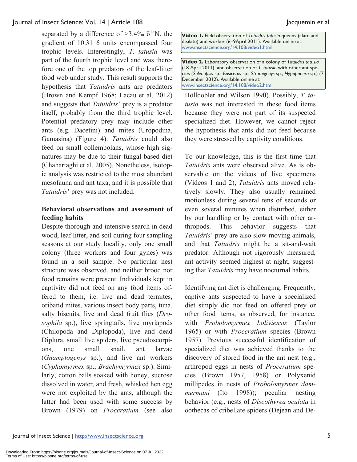separated by a difference of ≈3.4‰  $\delta^{15}N$ , the gradient of 10.31 δ units encompassed four trophic levels. Interestingly, *T. tatusia* was part of the fourth trophic level and was therefore one of the top predators of the leaf-litter food web under study. This result supports the hypothesis that *Tatuidris* ants are predators (Brown and Kempf 1968; Lacau et al. 2012) and suggests that *Tatuidris*' prey is a predator itself, probably from the third trophic level. Potential predatory prey may include other ants (e.g. Dacetini) and mites (Uropodina, Gamasina) (Figure 4). *Tatuidris* could also feed on small collembolans, whose high signatures may be due to their fungal-based diet (Chahartaghi et al. 2005). Nonetheless, isotopic analysis was restricted to the most abundant mesofauna and ant taxa, and it is possible that *Tatuidris*' prey was not included.

# **Behavioral observations and assessment of feeding habits**

Despite thorough and intensive search in dead wood, leaf litter, and soil during four sampling seasons at our study locality, only one small colony (three workers and four gynes) was found in a soil sample. No particular nest structure was observed, and neither brood nor food remains were present. Individuals kept in captivity did not feed on any food items offered to them, i.e. live and dead termites, oribatid mites, various insect body parts, tuna, salty biscuits, live and dead fruit flies (*Drosophila* sp.), live springtails, live myriapods (Chilopoda and Diplopoda), live and dead Diplura, small live spiders, live pseudoscorpions, one small snail, ant larvae (*Gnamptogenys* sp.), and live ant workers (*Cyphomyrmex* sp., *Brachymyrmex* sp.). Similarly, cotton balls soaked with honey, sucrose dissolved in water, and fresh, whisked hen egg were not exploited by the ants, although the latter had been used with some success by Brown (1979) on *Proceratium* (see also **Video 1.** Field observation of *Tatuidris tatusia* queens (alate and dealate) and worker (6–9April 2011). Available online at: www.insectscience.org/14.108/video1.html

**Video 2.** Laboratory observation of a colony of *Tatuidris tatusia* (18 April 2011), and observation of *T. tatusia* with other ant species (*Solenopsis* sp., *Basiceros* sp., *Strumigenys* sp., *Hypoponera* sp.) (7 December 2012). Available online at: www.insectscience.org/14.108/video2.html

Hölldobler and Wilson 1990). Possibly, *T. tatusia* was not interested in these food items because they were not part of its suspected specialized diet. However, we cannot reject the hypothesis that ants did not feed because they were stressed by captivity conditions.

To our knowledge, this is the first time that *Tatuidris* ants were observed alive. As is observable on the videos of live specimens (Videos 1 and 2), *Tatuidris* ants moved relatively slowly. They also usually remained motionless during several tens of seconds or even several minutes when disturbed, either by our handling or by contact with other arthropods. This behavior suggests that *Tatuidris*' prey are also slow-moving animals, and that *Tatuidris* might be a sit-and-wait predator. Although not rigorously measured, ant activity seemed highest at night, suggesting that *Tatuidris* may have nocturnal habits.

Identifying ant diet is challenging. Frequently, captive ants suspected to have a specialized diet simply did not feed on offered prey or other food items, as observed, for instance, with *Probolomyrmex boliviensis* (Taylor 1965) or with *Proceratium* species (Brown 1957). Previous successful identification of specialized diet was achieved thanks to the discovery of stored food in the ant nest (e.g., arthropod eggs in nests of *Proceratium* species (Brown 1957, 1958) or Polyxenid millipedes in nests of *Probolomyrmex dammermani* (Ito 1998)); peculiar nesting behavior (e.g., nests of *Discothyrea oculata* in oothecas of cribellate spiders (Dejean and De-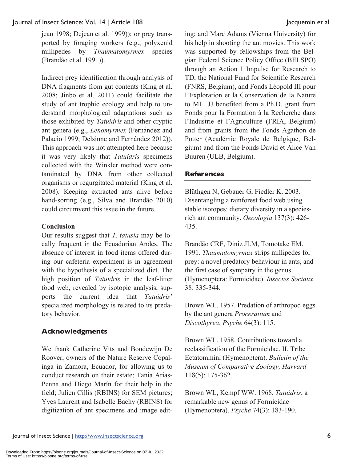jean 1998; Dejean et al. 1999)); or prey transported by foraging workers (e.g., polyxenid millipedes by *Thaumatomyrmex* species (Brandão et al. 1991)).

Indirect prey identification through analysis of DNA fragments from gut contents (King et al. 2008; Jinbo et al. 2011) could facilitate the study of ant trophic ecology and help to understand morphological adaptations such as those exhibited by *Tatuidris* and other cryptic ant genera (e.g., *Lenomyrmex* (Fernández and Palacio 1999; Delsinne and Fernández 2012)). This approach was not attempted here because it was very likely that *Tatuidris* specimens collected with the Winkler method were contaminated by DNA from other collected organisms or regurgitated material (King et al. 2008). Keeping extracted ants alive before hand-sorting (e.g., Silva and Brandão 2010) could circumvent this issue in the future.

# **Conclusion**

Our results suggest that *T. tatusia* may be locally frequent in the Ecuadorian Andes. The absence of interest in food items offered during our cafeteria experiment is in agreement with the hypothesis of a specialized diet. The high position of *Tatuidris* in the leaf-litter food web, revealed by isotopic analysis, supports the current idea that *Tatuidris*' specialized morphology is related to its predatory behavior.

### **Acknowledgments**

We thank Catherine Vits and Boudewijn De Roover, owners of the Nature Reserve Copalinga in Zamora, Ecuador, for allowing us to conduct research on their estate; Tania Arias-Penna and Diego Marín for their help in the field; Julien Cillis (RBINS) for SEM pictures; Yves Laurent and Isabelle Bachy (RBINS) for digitization of ant specimens and image edit-

ing; and Marc Adams (Vienna University) for his help in shooting the ant movies. This work was supported by fellowships from the Belgian Federal Science Policy Office (BELSPO) through an Action 1 Impulse for Research to TD, the National Fund for Scientific Research (FNRS, Belgium), and Fonds Léopold III pour l'Exploration et la Conservation de la Nature to ML. JJ benefited from a Ph.D. grant from Fonds pour la Formation à la Recherche dans l'Industrie et l'Agriculture (FRIA, Belgium) and from grants from the Fonds Agathon de Potter (Académie Royale de Belgique, Belgium) and from the Fonds David et Alice Van Buuren (ULB, Belgium).

### **References**

Blüthgen N, Gebauer G, Fiedler K. 2003. Disentangling a rainforest food web using stable isotopes: dietary diversity in a speciesrich ant community. *Oecologia* 137(3): 426- 435.

Brandão CRF, Diniz JLM, Tomotake EM. 1991. *Thaumatomyrmex* strips millipedes for prey: a novel predatory behaviour in ants, and the first case of sympatry in the genus (Hymenoptera: Formicidae). *Insectes Sociaux* 38: 335-344.

Brown WL. 1957. Predation of arthropod eggs by the ant genera *Proceratium* and *Discothyrea*. *Psyche* 64(3): 115.

Brown WL. 1958. Contributions toward a reclassification of the Formicidae. II. Tribe Ectatommini (Hymenoptera). *Bulletin of the Museum of Comparative Zoology, Harvard* 118(5): 175-362.

Brown WL, Kempf WW. 1968. *Tatuidris*, a remarkable new genus of Formicidae (Hymenoptera). *Psyche* 74(3): 183-190.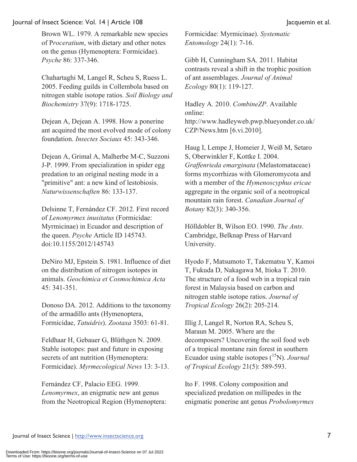Brown WL. 1979. A remarkable new species of P*roceratium*, with dietary and other notes on the genus (Hymenoptera: Formicidae). *Psyche* 86: 337-346.

Chahartaghi M, Langel R, Scheu S, Ruess L. 2005. Feeding guilds in Collembola based on nitrogen stable isotope ratios. *Soil Biology and Biochemistry* 37(9): 1718-1725.

Dejean A, Dejean A. 1998. How a ponerine ant acquired the most evolved mode of colony foundation. *Insectes Sociaux* 45: 343-346.

Dejean A, Grimal A, Malherbe M-C, Suzzoni J-P. 1999. From specialization in spider egg predation to an original nesting mode in a "primitive" ant: a new kind of lestobiosis. *Naturwissenschaften* 86: 133-137.

Delsinne T, Fernández CF. 2012. First record of *Lenomyrmex inusitatus* (Formicidae: Myrmicinae) in Ecuador and description of the queen. *Psyche* Article ID 145743. doi:10.1155/2012/145743

DeNiro MJ, Epstein S. 1981. Influence of diet on the distribution of nitrogen isotopes in animals. *Geochimica et Cosmochimica Acta* 45: 341-351.

Donoso DA. 2012. Additions to the taxonomy of the armadillo ants (Hymenoptera, Formicidae, *Tatuidris*). *Zootaxa* 3503: 61-81.

Feldhaar H, Gebauer G, Blüthgen N. 2009. Stable isotopes: past and future in exposing secrets of ant nutrition (Hymenoptera: Formicidae). *Myrmecological News* 13: 3-13.

Fernández CF, Palacio EEG. 1999. *Lenomyrmex*, an enigmatic new ant genus from the Neotropical Region (Hymenoptera: Formicidae: Myrmicinae). *Systematic Entomology* 24(1): 7-16.

Gibb H, Cunningham SA. 2011. Habitat contrasts reveal a shift in the trophic position of ant assemblages. *Journal of Animal Ecology* 80(1): 119-127.

Hadley A. 2010. *CombineZP*. Available online: http://www.hadleyweb.pwp.blueyonder.co.uk/ CZP/News.htm [6.vi.2010].

Haug I, Lempe J, Homeier J, Weiß M, Setaro S, Oberwinkler F, Kottke I. 2004. *Graffenrieda emarginata* (Melastomataceae) forms mycorrhizas with Glomeromycota and with a member of the *Hymenoscyphus ericae* aggregate in the organic soil of a neotropical mountain rain forest. *Canadian Journal of Botany* 82(3): 340-356.

Hölldobler B, Wilson EO. 1990. *The Ants.*  Cambridge, Belknap Press of Harvard University.

Hyodo F, Matsumoto T, Takematsu Y, Kamoi T, Fukuda D, Nakagawa M, Itioka T. 2010. The structure of a food web in a tropical rain forest in Malaysia based on carbon and nitrogen stable isotope ratios. *Journal of Tropical Ecology* 26(2): 205-214.

Illig J, Langel R, Norton RA, Scheu S, Maraun M. 2005. Where are the decomposers? Uncovering the soil food web of a tropical montane rain forest in southern Ecuador using stable isotopes (<sup>15</sup>N). *Journal of Tropical Ecology* 21(5): 589-593.

Ito F. 1998. Colony composition and specialized predation on millipedes in the enigmatic ponerine ant genus *Probolomyrmex*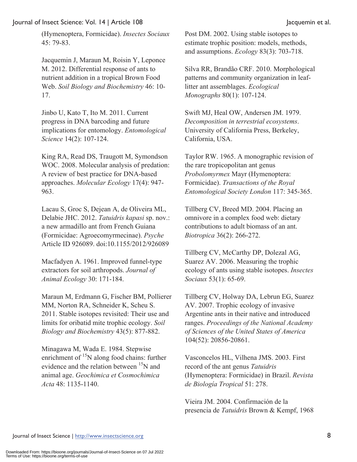(Hymenoptera, Formicidae). *Insectes Sociaux* 45: 79-83.

Jacquemin J, Maraun M, Roisin Y, Leponce M. 2012. Differential response of ants to nutrient addition in a tropical Brown Food Web. *Soil Biology and Biochemistry* 46: 10- 17.

Jinbo U, Kato T, Ito M. 2011. Current progress in DNA barcoding and future implications for entomology. *Entomological Science* 14(2): 107-124.

King RA, Read DS, Traugott M, Symondson WOC. 2008. Molecular analysis of predation: A review of best practice for DNA-based approaches. *Molecular Ecology* 17(4): 947- 963.

Lacau S, Groc S, Dejean A, de Oliveira ML, Delabie JHC. 2012. *Tatuidris kapasi* sp. nov.: a new armadillo ant from French Guiana (Formicidae: Agroecomyrmecinae). *Psyche* Article ID 926089. doi:10.1155/2012/926089

Macfadyen A. 1961. Improved funnel-type extractors for soil arthropods. *Journal of Animal Ecology* 30: 171-184.

Maraun M, Erdmann G, Fischer BM, Pollierer MM, Norton RA, Schneider K, Scheu S. 2011. Stable isotopes revisited: Their use and limits for oribatid mite trophic ecology. *Soil Biology and Biochemistry* 43(5): 877-882.

Minagawa M, Wada E. 1984. Stepwise enrichment of  $15N$  along food chains: further evidence and the relation between <sup>15</sup>N and animal age. *Geochimica et Cosmochimica Acta* 48: 1135-1140.

Post DM. 2002. Using stable isotopes to estimate trophic position: models, methods, and assumptions. *Ecology* 83(3): 703-718.

Silva RR, Brandão CRF. 2010. Morphological patterns and community organization in leaflitter ant assemblages. *Ecological Monographs* 80(1): 107-124.

Swift MJ, Heal OW, Andersen JM. 1979. *Decomposition in terrestrial ecosystems*. University of California Press, Berkeley, California, USA.

Taylor RW. 1965. A monographic revision of the rare tropicopolitan ant genus *Probolomyrmex* Mayr (Hymenoptera: Formicidae). *Transactions of the Royal Entomological Society London* 117: 345-365.

Tillberg CV, Breed MD. 2004. Placing an omnivore in a complex food web: dietary contributions to adult biomass of an ant. *Biotropica* 36(2): 266-272.

Tillberg CV, McCarthy DP, Dolezal AG, Suarez AV. 2006. Measuring the trophic ecology of ants using stable isotopes. *Insectes Sociaux* 53(1): 65-69.

Tillberg CV, Holway DA, Lebrun EG, Suarez AV. 2007. Trophic ecology of invasive Argentine ants in their native and introduced ranges. *Proceedings of the National Academy of Sciences of the United States of America* 104(52): 20856-20861.

Vasconcelos HL, Vilhena JMS. 2003. First record of the ant genus *Tatuidris*  (Hymenoptera: Formicidae) in Brazil. *Revista de Biología Tropical* 51: 278.

Vieira JM. 2004. Confirmación de la presencia de *Tatuidris* Brown & Kempf, 1968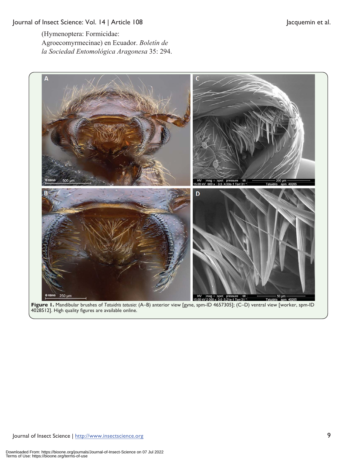(Hymenoptera: Formicidae: Agroecomyrmecinae) en Ecuador. *Boletín de la Sociedad Entomológica Aragonesa* 35: 294.



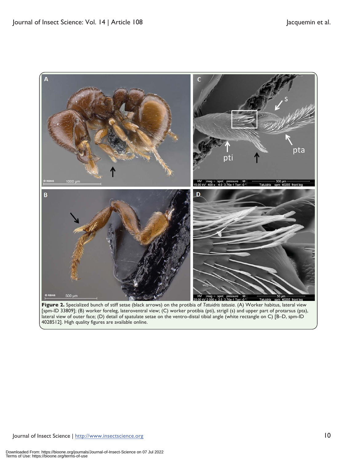

[spm-ID 33809]; (B) worker foreleg, lateroventral view; (C) worker protibia (pti), strigil (s) and upper part of protarsus (pta), lateral view of outer face; (D) detail of spatulate setae on the ventro-distal tibial angle (white rectangle on C) [B–D, spm-ID 4028512]. High quality figures are available online.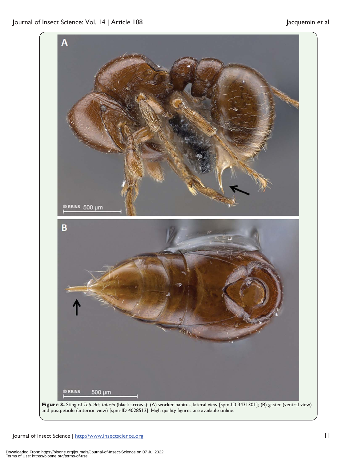

**Figure 3.** Sting of *Tatuidris tatusia* (black arrows): (A) worker habitus, lateral view [spm-ID 3431301]; (B) gaster (ventral view) and postpetiole (anterior view) [spm-ID 4028512]. High quality figures are available online.